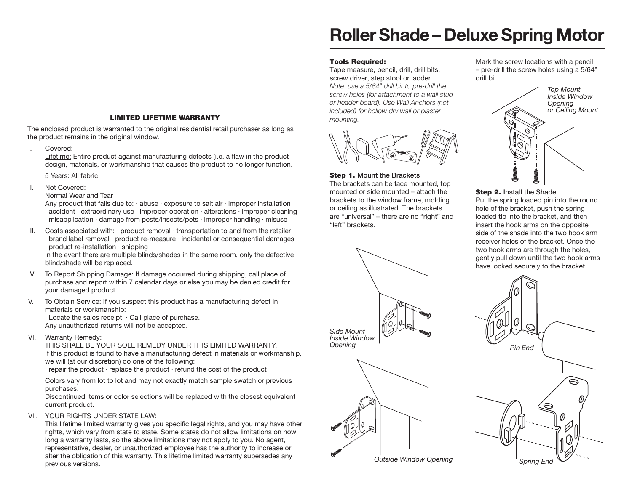## **LIMITED LIFETIME WARRANTY**

The enclosed product is warranted to the original residential retail purchaser as long as the product remains in the original window.

I. Covered:

Lifetime: Entire product against manufacturing defects (i.e. a flaw in the product design, materials, or workmanship that causes the product to no longer function.

5 Years: All fabric

II. Not Covered:

Normal Wear and Tear

Any product that fails due to:  $\cdot$  abuse  $\cdot$  exposure to salt air  $\cdot$  improper installation · accident · extraordinary use · improper operation · alterations · improper cleaning · misapplication · damage from pests/insects/pets · improper handling · misuse

III. Costs associated with: · product removal · transportation to and from the retailer · brand label removal · product re-measure · incidental or consequential damages · product re-installation · shipping

In the event there are multiple blinds/shades in the same room, only the defective blind/shade will be replaced.

- IV. To Report Shipping Damage: If damage occurred during shipping, call place of purchase and report within 7 calendar days or else you may be denied credit for your damaged product.
- V. To Obtain Service: If you suspect this product has a manufacturing defect in materials or workmanship: · Locate the sales receipt · Call place of purchase.

Any unauthorized returns will not be accepted.

VI. Warranty Remedy:

THIS SHALL BE YOUR SOLE REMEDY UNDER THIS LIMITED WARRANTY. If this product is found to have a manufacturing defect in materials or workmanship, we will (at our discretion) do one of the following:

 $\cdot$  repair the product  $\cdot$  replace the product  $\cdot$  refund the cost of the product

 Colors vary from lot to lot and may not exactly match sample swatch or previous purchases.

Discontinued items or color selections will be replaced with the closest equivalent current product.

VII. YOUR RIGHTS UNDER STATE LAW:

This lifetime limited warranty gives you specific legal rights, and you may have other rights, which vary from state to state. Some states do not allow limitations on how long a warranty lasts, so the above limitations may not apply to you. No agent, representative, dealer, or unauthorized employee has the authority to increase or alter the obligation of this warranty. This lifetime limited warranty supersedes any previous versions.

# **Roller Shade – Deluxe Spring Motor**

### **Tools Required:**

Tape measure, pencil, drill, drill bits, screw driver, step stool or ladder. *Note: use a 5/64" drill bit to pre-drill the screw holes (for attachment to a wall stud or header board). Use Wall Anchors (not included) for hollow dry wall or plaster mounting.*



### **Step 1. Mount the Brackets**

The brackets can be face mounted, top mounted or side mounted – attach the brackets to the window frame, molding or ceiling as illustrated. The brackets are "universal" – there are no "right" and "left" brackets.





Mark the screw locations with a pencil – pre-drill the screw holes using a 5/64" drill bit.



### **Step 2. Install the Shade**

Put the spring loaded pin into the round hole of the bracket, push the spring loaded tip into the bracket, and then insert the hook arms on the opposite side of the shade into the two hook arm receiver holes of the bracket. Once the two hook arms are through the holes, gently pull down until the two hook arms have locked securely to the bracket.